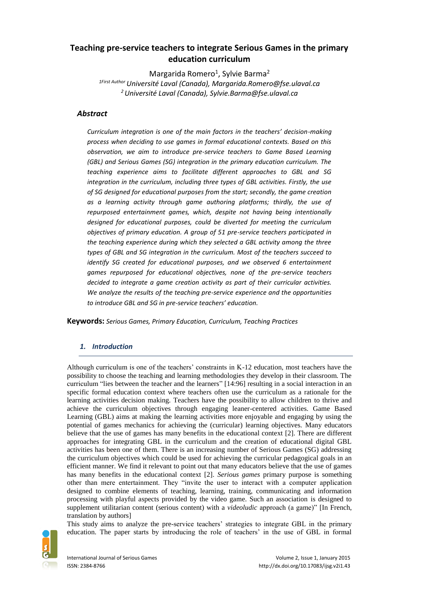# **Teaching pre-service teachers to integrate Serious Games in the primary education curriculum**

Margarida Romero<sup>1</sup>, Sylvie Barma<sup>2</sup> *1First Author Université Laval (Canada), Margarida.Romero@fse.ulaval.ca <sup>2</sup>Université Laval (Canada), Sylvie.Barma@fse.ulaval.ca*

# *Abstract*

*Curriculum integration is one of the main factors in the teachers' decision-making process when deciding to use games in formal educational contexts. Based on this observation, we aim to introduce pre-service teachers to Game Based Learning (GBL) and Serious Games (SG) integration in the primary education curriculum. The teaching experience aims to facilitate different approaches to GBL and SG integration in the curriculum, including three types of GBL activities. Firstly, the use of SG designed for educational purposes from the start; secondly, the game creation as a learning activity through game authoring platforms; thirdly, the use of repurposed entertainment games, which, despite not having being intentionally designed for educational purposes, could be diverted for meeting the curriculum objectives of primary education. A group of 51 pre-service teachers participated in the teaching experience during which they selected a GBL activity among the three types of GBL and SG integration in the curriculum. Most of the teachers succeed to identify SG created for educational purposes, and we observed 6 entertainment games repurposed for educational objectives, none of the pre-service teachers decided to integrate a game creation activity as part of their curricular activities. We analyze the results of the teaching pre-service experience and the opportunities to introduce GBL and SG in pre-service teachers' education.*

**Keywords:** *Serious Games, Primary Education, Curriculum, Teaching Practices*

## *1. Introduction*

Although curriculum is one of the teachers' constraints in K-12 education, most teachers have the possibility to choose the teaching and learning methodologies they develop in their classroom. The curriculum "lies between the teacher and the learners" [14:96] resulting in a social interaction in an specific formal education context where teachers often use the curriculum as a rationale for the learning activities decision making. Teachers have the possibility to allow children to thrive and achieve the curriculum objectives through engaging leaner-centered activities. Game Based Learning (GBL) aims at making the learning activities more enjoyable and engaging by using the potential of games mechanics for achieving the (curricular) learning objectives. Many educators believe that the use of games has many benefits in the educational context [2]. There are different approaches for integrating GBL in the curriculum and the creation of educational digital GBL activities has been one of them. There is an increasing number of Serious Games (SG) addressing the curriculum objectives which could be used for achieving the curricular pedagogical goals in an efficient manner. We find it relevant to point out that many educators believe that the use of games has many benefits in the educational context [2]. *Serious games* primary purpose is something other than mere entertainment. They "invite the user to interact with a computer application designed to combine elements of teaching, learning, training, communicating and information processing with playful aspects provided by the video game. Such an association is designed to supplement utilitarian content (serious content) with a *videoludic* approach (a game)" [In French, translation by authors]

This study aims to analyze the pre-service teachers' strategies to integrate GBL in the primary education. The paper starts by introducing the role of teachers' in the use of GBL in formal

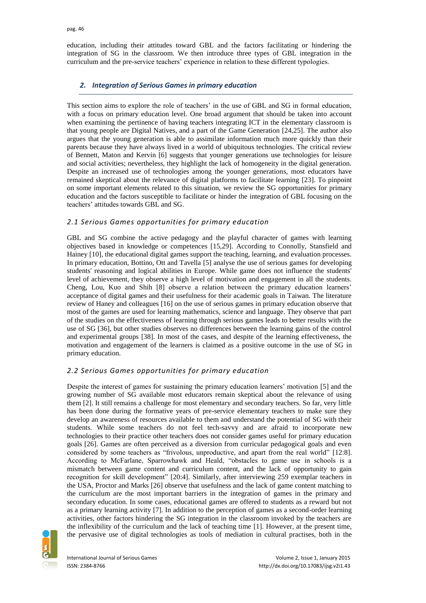education, including their attitudes toward GBL and the factors facilitating or hindering the integration of SG in the classroom. We then introduce three types of GBL integration in the curriculum and the pre-service teachers' experience in relation to these different typologies.

# *2. Integration of Serious Games in primary education*

This section aims to explore the role of teachers' in the use of GBL and SG in formal education, with a focus on primary education level. One broad argument that should be taken into account when examining the pertinence of having teachers integrating ICT in the elementary classroom is that young people are Digital Natives, and a part of the Game Generation [24,25]. The author also argues that the young generation is able to assimilate information much more quickly than their parents because they have always lived in a world of ubiquitous technologies. The critical review of Bennett, Maton and Kervin [6] suggests that younger generations use technologies for leisure and social activities; nevertheless, they highlight the lack of homogeneity in the digital generation. Despite an increased use of technologies among the younger generations, most educators have remained skeptical about the relevance of digital platforms to facilitate learning [23]. To pinpoint on some important elements related to this situation, we review the SG opportunities for primary education and the factors susceptible to facilitate or hinder the integration of GBL focusing on the teachers' attitudes towards GBL and SG.

# *2.1 Serious Games opportunities for primary education*

GBL and SG combine the active pedagogy and the playful character of games with learning objectives based in knowledge or competences [15,29]. According to Connolly, Stansfield and Hainey [10], the educational digital games support the teaching, learning, and evaluation processes. In primary education, Bottino, Ott and Tavella [5] analyse the use of serious games for developing students' reasoning and logical abilities in Europe. While game does not influence the students' level of achievement, they observe a high level of motivation and engagement in all the students. Cheng, Lou, Kuo and Shih [8] observe a relation between the primary education learners' acceptance of digital games and their usefulness for their academic goals in Taiwan. The literature review of Haney and colleagues [16] on the use of serious games in primary education observe that most of the games are used for learning mathematics, science and language. They observe that part of the studies on the effectiveness of learning through serious games leads to better results with the use of SG [36], but other studies observes no differences between the learning gains of the control and experimental groups [38]. In most of the cases, and despite of the learning effectiveness, the motivation and engagement of the learners is claimed as a positive outcome in the use of SG in primary education.

## *2.2 Serious Games opportunities for primary education*

Despite the interest of games for sustaining the primary education learners' motivation [5] and the growing number of SG available most educators remain skeptical about the relevance of using them [2]. It still remains a challenge for most elementary and secondary teachers. So far, very little has been done during the formative years of pre-service elementary teachers to make sure they develop an awareness of resources available to them and understand the potential of SG with their students. While some teachers do not feel tech-savvy and are afraid to incorporate new technologies to their practice other teachers does not consider games useful for primary education goals [26]. Games are often perceived as a diversion from curricular pedagogical goals and even considered by some teachers as "frivolous, unproductive, and apart from the real world" [12:8]. According to McFarlane, Sparrowhawk and Heald, "obstacles to game use in schools is a mismatch between game content and curriculum content, and the lack of opportunity to gain recognition for skill development" [20:4]. Similarly, after interviewing 259 exemplar teachers in the USA, Proctor and Marks [26] observe that usefulness and the lack of game content matching to the curriculum are the most important barriers in the integration of games in the primary and secondary education. In some cases, educational games are offered to students as a reward but not as a primary learning activity [7]. In addition to the perception of games as a second-order learning activities, other factors hindering the SG integration in the classroom invoked by the teachers are the inflexibility of the curriculum and the lack of teaching time [1]. However, at the present time, the pervasive use of digital technologies as tools of mediation in cultural practises, both in the

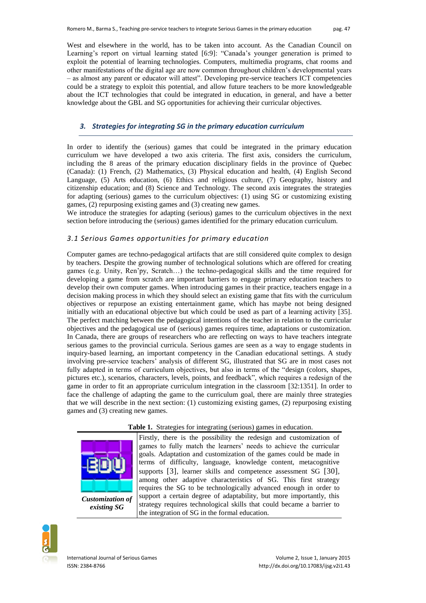West and elsewhere in the world, has to be taken into account. As the Canadian Council on Learning's report on virtual learning stated [6:9]: "Canada's younger generation is primed to exploit the potential of learning technologies. Computers, multimedia programs, chat rooms and other manifestations of the digital age are now common throughout children's developmental years – as almost any parent or educator will attest". Developing pre-service teachers ICT competencies could be a strategy to exploit this potential, and allow future teachers to be more knowledgeable about the ICT technologies that could be integrated in education, in general, and have a better knowledge about the GBL and SG opportunities for achieving their curricular objectives.

# *3. Strategies for integrating SG in the primary education curriculum*

In order to identify the (serious) games that could be integrated in the primary education curriculum we have developed a two axis criteria. The first axis, considers the curriculum, including the 8 areas of the primary education disciplinary fields in the province of Quebec (Canada): (1) French, (2) Mathematics, (3) Physical education and health, (4) English Second Language, (5) Arts education, (6) Ethics and religious culture, (7) Geography, history and citizenship education; and (8) Science and Technology. The second axis integrates the strategies for adapting (serious) games to the curriculum objectives: (1) using SG or customizing existing games, (2) repurposing existing games and (3) creating new games.

We introduce the strategies for adapting (serious) games to the curriculum objectives in the next section before introducing the (serious) games identified for the primary education curriculum.

## *3.1 Serious Games opportunities for primary education*

Computer games are techno-pedagogical artifacts that are still considered quite complex to design by teachers. Despite the growing number of technological solutions which are offered for creating games (e.g. Unity, Ren'py, Scratch…) the techno-pedagogical skills and the time required for developing a game from scratch are important barriers to engage primary education teachers to develop their own computer games. When introducing games in their practice, teachers engage in a decision making process in which they should select an existing game that fits with the curriculum objectives or repurpose an existing entertainment game, which has maybe not being designed initially with an educational objective but which could be used as part of a learning activity [35]. The perfect matching between the pedagogical intentions of the teacher in relation to the curricular objectives and the pedagogical use of (serious) games requires time, adaptations or customization. In Canada, there are groups of researchers who are reflecting on ways to have teachers integrate serious games to the provincial curricula. Serious games are seen as a way to engage students in inquiry-based learning, an important competency in the Canadian educational settings. A study involving pre-service teachers' analysis of different SG, illustrated that SG are in most cases not fully adapted in terms of curriculum objectives, but also in terms of the "design (colors, shapes, pictures etc.), scenarios, characters, levels, points, and feedback", which requires a redesign of the game in order to fit an appropriate curriculum integration in the classroom [32:1351]. In order to face the challenge of adapting the game to the curriculum goal, there are mainly three strategies that we will describe in the next section: (1) customizing existing games, (2) repurposing existing games and (3) creating new games.

#### **Table 1.** Strategies for integrating (serious) games in education.



*Customization of existing SG*

Firstly, there is the possibility the redesign and customization of games to fully match the learners' needs to achieve the curricular goals. Adaptation and customization of the games could be made in terms of difficulty, language, knowledge content, metacognitive supports [3], learner skills and competence assessment SG [30], among other adaptive characteristics of SG. This first strategy requires the SG to be technologically advanced enough in order to support a certain degree of adaptability, but more importantly, this strategy requires technological skills that could became a barrier to the integration of SG in the formal education.

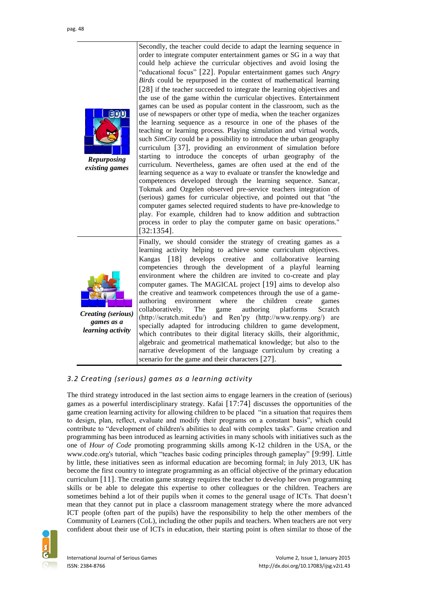

*Repurposing existing games* Secondly, the teacher could decide to adapt the learning sequence in order to integrate computer entertainment games or SG in a way that could help achieve the curricular objectives and avoid losing the "educational focus" [22]. Popular entertainment games such *Angry Birds* could be repurposed in the context of mathematical learning [28] if the teacher succeeded to integrate the learning objectives and the use of the game within the curricular objectives. Entertainment games can be used as popular content in the classroom, such as the use of newspapers or other type of media, when the teacher organizes the learning sequence as a resource in one of the phases of the teaching or learning process. Playing simulation and virtual words, such *SimCity* could be a possibility to introduce the urban geography curriculum [37], providing an environment of simulation before starting to introduce the concepts of urban geography of the curriculum. Nevertheless, games are often used at the end of the learning sequence as a way to evaluate or transfer the knowledge and competences developed through the learning sequence. Sancar, Tokmak and Ozgelen observed pre-service teachers integration of (serious) games for curricular objective, and pointed out that "the computer games selected required students to have pre-knowledge to play. For example, children had to know addition and subtraction process in order to play the computer game on basic operations." [32:1354].



*Creating (serious) games as a learning activity*

Finally, we should consider the strategy of creating games as a learning activity helping to achieve some curriculum objectives. Kangas [18] develops creative and collaborative learning competencies through the development of a playful learning environment where the children are invited to co-create and play computer games. The MAGICAL project [19] aims to develop also the creative and teamwork competences through the use of a gameauthoring environment where the children create games collaboratively. The game authoring platforms Scratch (http://scratch.mit.edu/) and Ren'py (http://www.renpy.org/) are specially adapted for introducing children to game development, which contributes to their digital literacy skills, their algorithmic, algebraic and geometrical mathematical knowledge; but also to the narrative development of the language curriculum by creating a scenario for the game and their characters [27].

# *3.2 Creating (serious) games as a learning activity*

The third strategy introduced in the last section aims to engage learners in the creation of (serious) games as a powerful interdisciplinary strategy. Kafai [17:74] discusses the opportunities of the game creation learning activity for allowing children to be placed "in a situation that requires them to design, plan, reflect, evaluate and modify their programs on a constant basis", which could contribute to "development of children's abilities to deal with complex tasks". Game creation and programming has been introduced as learning activities in many schools with initiatives such as the one of *Hour of Code* promoting programming skills among K-12 children in the USA, or the www.code.org's tutorial, which "teaches basic coding principles through gameplay" [9:99]. Little by little, these initiatives seen as informal education are becoming formal; in July 2013, UK has become the first country to integrate programming as an official objective of the primary education curriculum [11]. The creation game strategy requires the teacher to develop her own programming skills or be able to delegate this expertise to other colleagues or the children. Teachers are sometimes behind a lot of their pupils when it comes to the general usage of ICTs. That doesn't mean that they cannot put in place a classroom management strategy where the more advanced ICT people (often part of the pupils) have the responsibility to help the other members of the Community of Learners (CoL), including the other pupils and teachers. When teachers are not very confident about their use of ICTs in education, their starting point is often similar to those of the

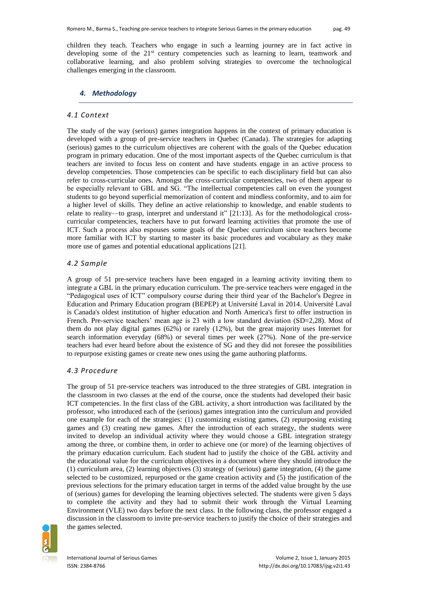children they teach. Teachers who engage in such a learning journey are in fact active in developing some of the  $21<sup>st</sup>$  century competencies such as learning to learn, teamwork and collaborative learning, and also problem solving strategies to overcome the technological challenges emerging in the classroom.

## *4. Methodology*

## *4.1 Context*

The study of the way (serious) games integration happens in the context of primary education is developed with a group of pre-service teachers in Quebec (Canada). The strategies for adapting (serious) games to the curriculum objectives are coherent with the goals of the Quebec education program in primary education. One of the most important aspects of the Quebec curriculum is that teachers are invited to focus less on content and have students engage in an active process to develop competencies. Those competencies can be specific to each disciplinary field but can also refer to cross-curricular ones. Amongst the cross-curricular competencies, two of them appear to be especially relevant to GBL and SG. "The intellectual competencies call on even the youngest students to go beyond superficial memorization of content and mindless conformity, and to aim for a higher level of skills. They define an active relationship to knowledge, and enable students to relate to reality—to grasp, interpret and understand it" [21:13]. As for the methodological crosscurricular competencies, teachers have to put forward learning activities that promote the use of ICT. Such a process also espouses some goals of the Quebec curriculum since teachers become more familiar with ICT by starting to master its basic procedures and vocabulary as they make more use of games and potential educational applications [21].

### *4.2 Sample*

A group of 51 pre-service teachers have been engaged in a learning activity inviting them to integrate a GBL in the primary education curriculum. The pre-service teachers were engaged in the "Pedagogical uses of ICT" compulsory course during their third year of the Bachelor's Degree in Education and Primary Education program (BEPEP) at Université Laval in 2014. Université Laval is Canada's oldest institution of higher education and North America's first to offer instruction in French. Pre-service teachers' mean age is 23 with a low standard deviation (SD=2,28). Most of them do not play digital games (62%) or rarely (12%), but the great majority uses Internet for search information everyday (68%) or several times per week (27%). None of the pre-service teachers had ever heard before about the existence of SG and they did not foresee the possibilities to repurpose existing games or create new ones using the game authoring platforms.

#### *4.3 Procedure*

The group of 51 pre-service teachers was introduced to the three strategies of GBL integration in the classroom in two classes at the end of the course, once the students had developed their basic ICT competencies. In the first class of the GBL activity, a short introduction was facilitated by the professor, who introduced each of the (serious) games integration into the curriculum and provided one example for each of the strategies: (1) customizing existing games, (2) repurposing existing games and (3) creating new games. After the introduction of each strategy, the students were invited to develop an individual activity where they would choose a GBL integration strategy among the three, or combine them, in order to achieve one (or more) of the learning objectives of the primary education curriculum. Each student had to justify the choice of the GBL activity and the educational value for the curriculum objectives in a document where they should introduce the (1) curriculum area, (2) learning objectives (3) strategy of (serious) game integration, (4) the game selected to be customized, repurposed or the game creation activity and (5) the justification of the previous selections for the primary education target in terms of the added value brought by the use of (serious) games for developing the learning objectives selected. The students were given 5 days to complete the activity and they had to submit their work through the Virtual Learning Environment (VLE) two days before the next class. In the following class, the professor engaged a discussion in the classroom to invite pre-service teachers to justify the choice of their strategies and the games selected.

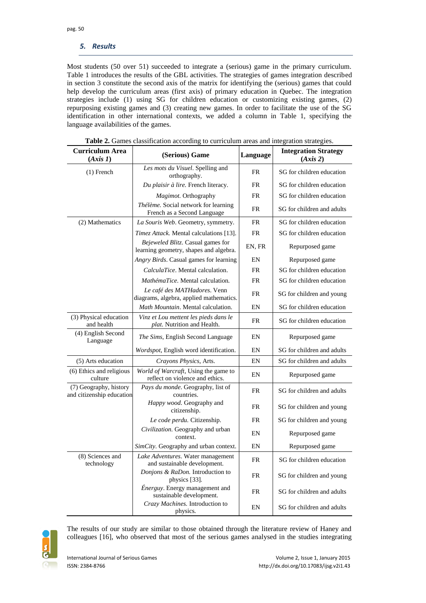## *5. Results*

Most students (50 over 51) succeeded to integrate a (serious) game in the primary curriculum. Table 1 introduces the results of the GBL activities. The strategies of games integration described in section 3 constitute the second axis of the matrix for identifying the (serious) games that could help develop the curriculum areas (first axis) of primary education in Quebec. The integration strategies include (1) using SG for children education or customizing existing games, (2) repurposing existing games and (3) creating new games. In order to facilitate the use of the SG identification in other international contexts, we added a column in Table 1, specifying the language availabilities of the games.

| <b>Curriculum Area</b><br>(Axis 1)                  | (Serious) Game                                                               | Language  | <b>Integration Strategy</b><br>(Axis 2) |
|-----------------------------------------------------|------------------------------------------------------------------------------|-----------|-----------------------------------------|
| $(1)$ French                                        | Les mots du Visuel. Spelling and<br>orthography.                             | <b>FR</b> | SG for children education               |
|                                                     | Du plaisir à lire. French literacy.                                          | <b>FR</b> | SG for children education               |
|                                                     | Magimot. Orthography                                                         | <b>FR</b> | SG for children education               |
|                                                     | Thélème. Social network for learning<br>French as a Second Language          | <b>FR</b> | SG for children and adults              |
| (2) Mathematics                                     | La Souris Web. Geometry, symmetry.                                           | <b>FR</b> | SG for children education               |
|                                                     | Timez Attack. Mental calculations [13].                                      | <b>FR</b> | SG for children education               |
|                                                     | Bejeweled Blitz. Casual games for<br>learning geometry, shapes and algebra.  | EN, FR    | Repurposed game                         |
|                                                     | Angry Birds. Casual games for learning                                       | EN        | Repurposed game                         |
|                                                     | CalculaTice. Mental calculation.                                             | <b>FR</b> | SG for children education               |
|                                                     | MathémaTice. Mental calculation.                                             | <b>FR</b> | SG for children education               |
|                                                     | Le café des MATHadores. Venn<br>diagrams, algebra, applied mathematics.      | <b>FR</b> | SG for children and young               |
|                                                     | Math Mountain. Mental calculation.                                           | EN        | SG for children education               |
| (3) Physical education<br>and health                | Vinz et Lou mettent les pieds dans le<br><i>plat</i> . Nutrition and Health. | <b>FR</b> | SG for children education               |
| (4) English Second<br>Language                      | The Sims, English Second Language                                            | EN        | Repurposed game                         |
|                                                     | Wordspot, English word identification.                                       | EN        | SG for children and adults              |
| (5) Arts education                                  | Crayons Physics, Arts.                                                       | EN        | SG for children and adults              |
| (6) Ethics and religious<br>culture                 | World of Warcraft, Using the game to<br>reflect on violence and ethics.      | EN        | Repurposed game                         |
| (7) Geography, history<br>and citizenship education | Pays du monde. Geography, list of<br>countries.                              | <b>FR</b> | SG for children and adults              |
|                                                     | Happy wood. Geography and<br>citizenship.                                    | <b>FR</b> | SG for children and young               |
|                                                     | Le code perdu. Citizenship.                                                  | <b>FR</b> | SG for children and young               |
|                                                     | Civilization. Geography and urban<br>context.                                | EN        | Repurposed game                         |
|                                                     | SimCity. Geography and urban context.                                        | EN        | Repurposed game                         |
| (8) Sciences and<br>technology                      | Lake Adventures. Water management<br>and sustainable development.            | <b>FR</b> | SG for children education               |
|                                                     | Donjons & RaDon. Introduction to<br>physics [33].                            | <b>FR</b> | SG for children and young               |
|                                                     | Énerguy. Energy management and<br>sustainable development.                   | <b>FR</b> | SG for children and adults              |
|                                                     | Crazy Machines. Introduction to<br>physics.                                  | EN        | SG for children and adults              |

**Table 2.** Games classification according to curriculum areas and integration strategies.



The results of our study are similar to those obtained through the literature review of Haney and colleagues [16], who observed that most of the serious games analysed in the studies integrating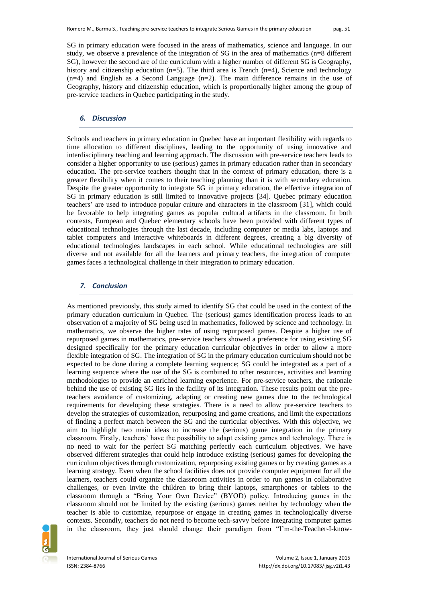SG in primary education were focused in the areas of mathematics, science and language. In our study, we observe a prevalence of the integration of SG in the area of mathematics (n=8 different SG), however the second are of the curriculum with a higher number of different SG is Geography, history and citizenship education  $(n=5)$ . The third area is French  $(n=4)$ , Science and technology  $(n=4)$  and English as a Second Language  $(n=2)$ . The main difference remains in the use of Geography, history and citizenship education, which is proportionally higher among the group of pre-service teachers in Quebec participating in the study.

## *6. Discussion*

Schools and teachers in primary education in Quebec have an important flexibility with regards to time allocation to different disciplines, leading to the opportunity of using innovative and interdisciplinary teaching and learning approach. The discussion with pre-service teachers leads to consider a higher opportunity to use (serious) games in primary education rather than in secondary education. The pre-service teachers thought that in the context of primary education, there is a greater flexibility when it comes to their teaching planning than it is with secondary education. Despite the greater opportunity to integrate SG in primary education, the effective integration of SG in primary education is still limited to innovative projects [34]. Quebec primary education teachers' are used to introduce popular culture and characters in the classroom [31], which could be favorable to help integrating games as popular cultural artifacts in the classroom. In both contexts, European and Quebec elementary schools have been provided with different types of educational technologies through the last decade, including computer or media labs, laptops and tablet computers and interactive whiteboards in different degrees, creating a big diversity of educational technologies landscapes in each school. While educational technologies are still diverse and not available for all the learners and primary teachers, the integration of computer games faces a technological challenge in their integration to primary education.

### *7. Conclusion*

As mentioned previously, this study aimed to identify SG that could be used in the context of the primary education curriculum in Quebec. The (serious) games identification process leads to an observation of a majority of SG being used in mathematics, followed by science and technology. In mathematics, we observe the higher rates of using repurposed games. Despite a higher use of repurposed games in mathematics, pre-service teachers showed a preference for using existing SG designed specifically for the primary education curricular objectives in order to allow a more flexible integration of SG. The integration of SG in the primary education curriculum should not be expected to be done during a complete learning sequence; SG could be integrated as a part of a learning sequence where the use of the SG is combined to other resources, activities and learning methodologies to provide an enriched learning experience. For pre-service teachers, the rationale behind the use of existing SG lies in the facility of its integration. These results point out the preteachers avoidance of customizing, adapting or creating new games due to the technological requirements for developing these strategies. There is a need to allow pre-service teachers to develop the strategies of customization, repurposing and game creations, and limit the expectations of finding a perfect match between the SG and the curricular objectives. With this objective, we aim to highlight two main ideas to increase the (serious) game integration in the primary classroom. Firstly, teachers' have the possibility to adapt existing games and technology. There is no need to wait for the perfect SG matching perfectly each curriculum objectives. We have observed different strategies that could help introduce existing (serious) games for developing the curriculum objectives through customization, repurposing existing games or by creating games as a learning strategy. Even when the school facilities does not provide computer equipment for all the learners, teachers could organize the classroom activities in order to run games in collaborative challenges, or even invite the children to bring their laptops, smartphones or tablets to the classroom through a "Bring Your Own Device" (BYOD) policy. Introducing games in the classroom should not be limited by the existing (serious) games neither by technology when the teacher is able to customize, repurpose or engage in creating games in technologically diverse contexts. Secondly, teachers do not need to become tech-savvy before integrating computer games in the classroom, they just should change their paradigm from "I'm-the-Teacher-I-know-

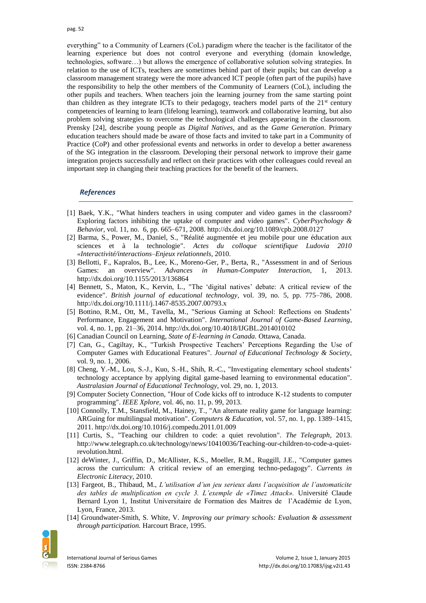everything" to a Community of Learners (CoL) paradigm where the teacher is the facilitator of the learning experience but does not control everyone and everything (domain knowledge, technologies, software…) but allows the emergence of collaborative solution solving strategies. In relation to the use of ICTs, teachers are sometimes behind part of their pupils; but can develop a classroom management strategy were the more advanced ICT people (often part of the pupils) have the responsibility to help the other members of the Community of Learners (CoL), including the other pupils and teachers. When teachers join the learning journey from the same starting point than children as they integrate ICTs to their pedagogy, teachers model parts of the  $21<sup>st</sup>$  century competencies of learning to learn (lifelong learning), teamwork and collaborative learning, but also problem solving strategies to overcome the technological challenges appearing in the classroom. Prensky [24], describe young people as *Digital Natives*, and as the *Game Generation*. Primary education teachers should made be aware of those facts and invited to take part in a Community of Practice (CoP) and other professional events and networks in order to develop a better awareness of the SG integration in the classroom. Developing their personal network to improve their game integration projects successfully and reflect on their practices with other colleagues could reveal an important step in changing their teaching practices for the benefit of the learners.

### *References*

- [1] Baek, Y.K., "What hinders teachers in using computer and video games in the classroom? Exploring factors inhibiting the uptake of computer and video games". *CyberPsychology & Behavior,* vol. 11, no. 6, pp. 665–671, 2008. http://dx.doi.org/10.1089/cpb.2008.0127
- [2] Barma, S., Power, M., Daniel, S., "Réalité augmentée et jeu mobile pour une éducation aux sciences et à la technologie". *Actes du colloque scientifique Ludovia 2010 «Interactivité/interactions–Enjeux relationnels*, 2010.
- [3] Bellotti, F., Kapralos, B., Lee, K., Moreno-Ger, P., Berta, R., "Assessment in and of Serious Games: an overview". *Advances in Human-Computer Interaction*, 1, 2013. http://dx.doi.org/10.1155/2013/136864
- [4] Bennett, S., Maton, K., Kervin, L., "The 'digital natives' debate: A critical review of the evidence". *British journal of educational technology,* vol. 39, no. 5, pp. 775–786, 2008. http://dx.doi.org/10.1111/j.1467-8535.2007.00793.x
- [5] Bottino, R.M., Ott, M., Tavella, M., "Serious Gaming at School: Reflections on Students' Performance, Engagement and Motivation". *International Journal of Game-Based Learning*, vol. 4, no. 1, pp. 21–36, 2014. http://dx.doi.org/10.4018/IJGBL.2014010102
- [6] Canadian Council on Learning, *State of E-learning in Canada.* Ottawa, Canada.
- [7] Can, G., Cagiltay, K., "Turkish Prospective Teachers' Perceptions Regarding the Use of Computer Games with Educational Features". *Journal of Educational Technology & Society*, vol. 9, no. 1, 2006.
- [8] Cheng, Y.-M., Lou, S.-J., Kuo, S.-H., Shih, R.-C., "Investigating elementary school students' technology acceptance by applying digital game-based learning to environmental education". *Australasian Journal of Educational Technology*, vol. 29, no. 1, 2013.
- [9] Computer Society Connection, "Hour of Code kicks off to introduce K-12 students to computer programming". *IEEE Xplore,* vol. 46, no. 11, p. 99, 2013.
- [10] Connolly, T.M., Stansfield, M., Hainey, T., "An alternate reality game for language learning: ARGuing for multilingual motivation". *Computers & Education,* vol. 57, no. 1, pp. 1389–1415, 2011. http://dx.doi.org/10.1016/j.compedu.2011.01.009
- [11] Curtis, S., "Teaching our children to code: a quiet revolution". *The Telegraph*, 2013. http://www.telegraph.co.uk/technology/news/10410036/Teaching-our-children-to-code-a-quietrevolution.html.
- [12] deWinter, J., Griffin, D., McAllister, K.S., Moeller, R.M., Ruggill, J.E., "Computer games across the curriculum: A critical review of an emerging techno-pedagogy". *Currents in Electronic Literacy*, 2010.
- [13] Fargeot, B., Thibaud, M., *L'utilisation d'un jeu serieux dans l'acquisition de l'automaticite des tables de multiplication en cycle 3. L'exemple de «Timez Attack».* Université Claude Bernard Lyon 1, Institut Universitaire de Formation des Maitres de l'Académie de Lyon, Lyon, France, 2013.
- [14] Groundwater-Smith, S. White, V. *Improving our primary schools: Evaluation & assessment through participation.* Harcourt Brace, 1995.

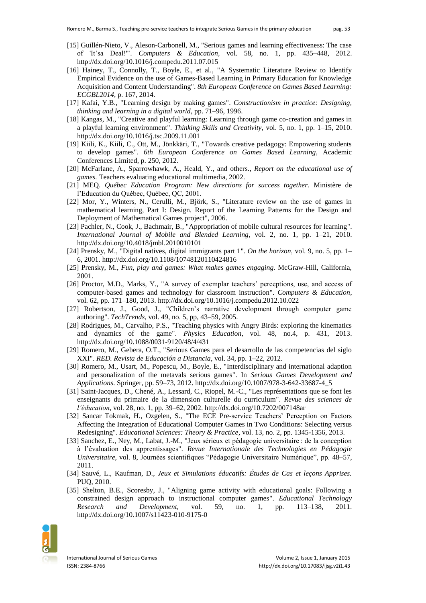- [15] Guillén-Nieto, V., Aleson-Carbonell, M., "Serious games and learning effectiveness: The case of 'It'sa Deal!'". *Computers & Education,* vol. 58, no. 1, pp. 435–448, 2012. http://dx.doi.org/10.1016/j.compedu.2011.07.015
- [16] Hainey, T., Connolly, T., Boyle, E., et al., "A Systematic Literature Review to Identify Empirical Evidence on the use of Games-Based Learning in Primary Education for Knowledge Acquisition and Content Understanding". *8th European Conference on Games Based Learning: ECGBL2014*, p. 167, 2014.
- [17] Kafai, Y.B., "Learning design by making games". *Constructionism in practice: Designing, thinking and learning in a digital world*, pp. 71–96, 1996.
- [18] Kangas, M., "Creative and playful learning: Learning through game co-creation and games in a playful learning environment". *Thinking Skills and Creativity,* vol. 5, no. 1, pp. 1–15, 2010. http://dx.doi.org/10.1016/j.tsc.2009.11.001
- [19] Kiili, K., Kiili, C., Ott, M., Jönkkäri, T., "Towards creative pedagogy: Empowering students to develop games". *6th European Conference on Games Based Learning*, Academic Conferences Limited, p. 250, 2012.
- [20] McFarlane, A., Sparrowhawk, A., Heald, Y., and others., *Report on the educational use of games.* Teachers evaluating educational multimedia, 2002.
- [21] MEQ. *Québec Education Program: New directions for success together.* Ministère de l'Education du Québec, Québec, QC, 2001.
- [22] Mor, Y., Winters, N., Cerulli, M., Björk, S., "Literature review on the use of games in mathematical learning, Part I: Design. Report of the Learning Patterns for the Design and Deployment of Mathematical Games project", 2006.
- [23] Pachler, N., Cook, J., Bachmair, B., "Appropriation of mobile cultural resources for learning". *International Journal of Mobile and Blended Learning*, vol. 2, no. 1, pp. 1–21, 2010. http://dx.doi.org/10.4018/jmbl.2010010101
- [24] Prensky, M., "Digital natives, digital immigrants part 1". *On the horizon,* vol. 9, no. 5, pp. 1– 6, 2001. http://dx.doi.org/10.1108/10748120110424816
- [25] Prensky, M., *Fun, play and games: What makes games engaging.* McGraw-Hill, California, 2001.
- [26] Proctor, M.D., Marks, Y., "A survey of exemplar teachers' perceptions, use, and access of computer-based games and technology for classroom instruction". *Computers & Education,*  vol. 62, pp. 171–180, 2013. http://dx.doi.org/10.1016/j.compedu.2012.10.022
- [27] Robertson, J., Good, J., "Children's narrative development through computer game authoring". *TechTrends,* vol. 49, no. 5, pp, 43–59, 2005.
- [28] Rodrigues, M., Carvalho, P.S., "Teaching physics with Angry Birds: exploring the kinematics and dynamics of the game". *Physics Education*, vol. 48, no.4, p. 431, 2013. http://dx.doi.org/10.1088/0031-9120/48/4/431
- [29] Romero, M., Gebera, O.T., "Serious Games para el desarrollo de las competencias del siglo XXI". *RED. Revista de Educación a Distancia*, vol. 34, pp. 1–22, 2012.
- [30] Romero, M., Usart, M., Popescu, M., Boyle, E., "Interdisciplinary and international adaption and personalization of the metavals serious games". In *Serious Games Development and Applications*. Springer, pp. 59–73, 2012. http://dx.doi.org/10.1007/978-3-642-33687-4\_5
- [31] Saint-Jacques, D., Chené, A., Lessard, C., Riopel, M.-C., "Les représentations que se font les enseignants du primaire de la dimension culturelle du curriculum". *Revue des sciences de l'éducation,* vol. 28, no. 1, pp. 39–62, 2002. http://dx.doi.org/10.7202/007148ar
- [32] Sancar Tokmak, H., Ozgelen, S., "The ECE Pre-service Teachers' Perception on Factors Affecting the Integration of Educational Computer Games in Two Conditions: Selecting versus Redesigning". *Educational Sciences: Theory & Practice,* vol. 13, no. 2, pp. 1345-1356, 2013.
- [33] Sanchez, E., Ney, M., Labat, J.-M., "Jeux sérieux et pédagogie universitaire : de la conception à l'évaluation des apprentissages". *Revue Internationale des Technologies en Pédagogie Universitaire*, vol. 8, Journées scientifiques "Pédagogie Universitaire Numérique", pp. 48–57, 2011.
- [34] Sauvé, L., Kaufman, D., *Jeux et Simulations éducatifs: Études de Cas et leçons Apprises.* PUQ, 2010.
- [35] Shelton, B.E., Scoresby, J., "Aligning game activity with educational goals: Following a constrained design approach to instructional computer games". *Educational Technology Research and Development,* vol. 59, no. 1, pp. 113–138, 2011. http://dx.doi.org/10.1007/s11423-010-9175-0